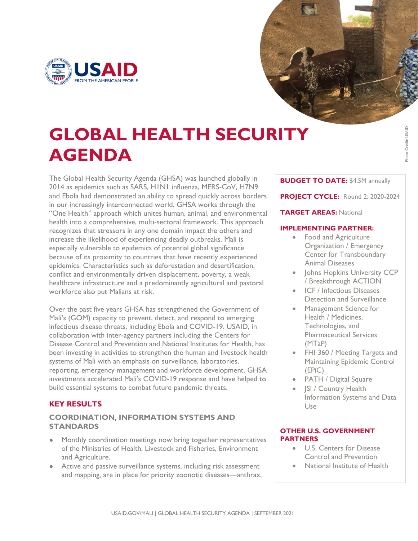



Photo Credit: USAID

Photo Credit: USAID

# **GLOBAL HEALTH SECURITY AGENDA**

The Global Health Security Agenda (GHSA) was launched globally in 2014 as epidemics such as SARS, H1N1 influenza, MERS-CoV, H7N9 and Ebola had demonstrated an ability to spread quickly across borders in our increasingly interconnected world. GHSA works through the "One Health" approach which unites human, animal, and environmental health into a comprehensive, multi-sectoral framework. This approach recognizes that stressors in any one domain impact the others and increase the likelihood of experiencing deadly outbreaks. Mali is especially vulnerable to epidemics of potential global significance because of its proximity to countries that have recently experienced epidemics. Characteristics such as deforestation and desertification, conflict and environmentally driven displacement, poverty, a weak healthcare infrastructure and a predominantly agricultural and pastoral workforce also put Malians at risk.

Over the past five years GHSA has strengthened the Government of Mali's (GOM) capacity to prevent, detect, and respond to emerging infectious disease threats, including Ebola and COVID-19. USAID, in collaboration with inter-agency partners including the Centers for Disease Control and Prevention and National Institutes for Health, has been investing in activities to strengthen the human and livestock health systems of Mali with an emphasis on surveillance, laboratories, reporting, emergency management and workforce development. GHSA investments accelerated Mali's COVID-19 response and have helped to build essential systems to combat future pandemic threats.

# **KEY RESULTS**

## **COORDINATION, INFORMATION SYSTEMS AND STANDARDS**

- Monthly coordination meetings now bring together representatives of the Ministries of Health, Livestock and Fisheries, Environment and Agriculture.
- Active and passive surveillance systems, including risk assessment and mapping, are in place for priority zoonotic diseases—anthrax,

#### **BUDGET TO DATE:** \$4.5M annually

**PROJECT CYCLE:** Round 2: 2020-2024

### **TARGET AREAS:** National

#### **IMPLEMENTING PARTNER:**

- Food and Agriculture Organization / Emergency Center for Transboundary Animal Diseases
- Johns Hopkins University CCP / Breakthrough ACTION
- ICF / Infectious Diseases Detection and Surveillance
- Management Science for Health / Medicines, Technologies, and Pharmaceutical Services (MTaP)
- FHI 360 / Meeting Targets and Maintaining Epidemic Control (EPiC)
- PATH / Digital Square
- **ISI / Country Health** Information Systems and Data Use

#### **OTHER U.S. GOVERNMENT PARTNERS**

- U.S. Centers for Disease Control and Prevention
- National Institute of Health